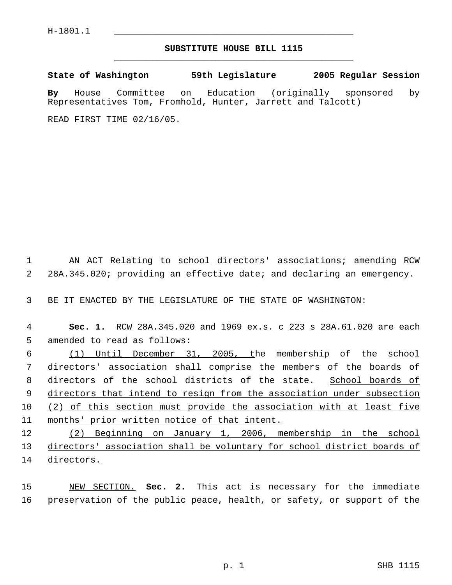## **SUBSTITUTE HOUSE BILL 1115** \_\_\_\_\_\_\_\_\_\_\_\_\_\_\_\_\_\_\_\_\_\_\_\_\_\_\_\_\_\_\_\_\_\_\_\_\_\_\_\_\_\_\_\_\_

**State of Washington 59th Legislature 2005 Regular Session**

**By** House Committee on Education (originally sponsored by Representatives Tom, Fromhold, Hunter, Jarrett and Talcott)

READ FIRST TIME 02/16/05.

 AN ACT Relating to school directors' associations; amending RCW 28A.345.020; providing an effective date; and declaring an emergency.

BE IT ENACTED BY THE LEGISLATURE OF THE STATE OF WASHINGTON:

 **Sec. 1.** RCW 28A.345.020 and 1969 ex.s. c 223 s 28A.61.020 are each amended to read as follows:

 (1) Until December 31, 2005, the membership of the school directors' association shall comprise the members of the boards of directors of the school districts of the state. School boards of directors that intend to resign from the association under subsection (2) of this section must provide the association with at least five months' prior written notice of that intent.

 (2) Beginning on January 1, 2006, membership in the school 13 directors' association shall be voluntary for school district boards of directors.

 NEW SECTION. **Sec. 2.** This act is necessary for the immediate preservation of the public peace, health, or safety, or support of the